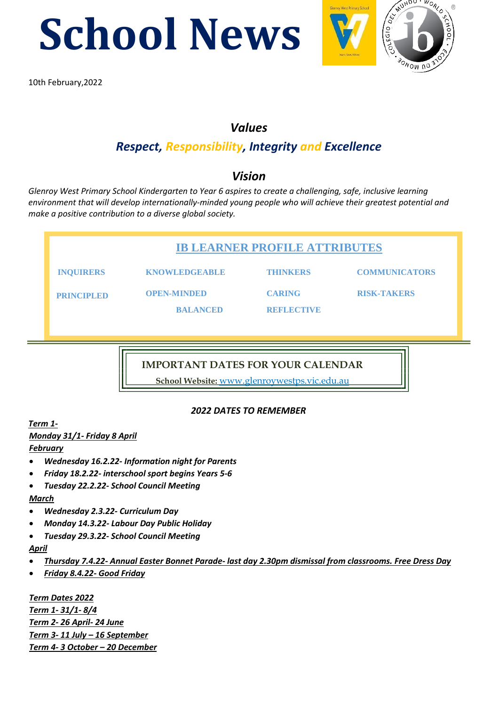**School News** 



 $\frac{1}{10}$ 10th February,2022

## *Values*

# *Respect, Responsibility, Integrity and Excellence*

# *Vision*

*Glenroy West Primary School Kindergarten to Year 6 aspires to create a challenging, safe, inclusive learning environment that will develop internationally-minded young people who will achieve their greatest potential and make a positive contribution to a diverse global society.* 

| <b>IB LEARNER PROFILE ATTRIBUTES</b> |                                       |                                    |                      |  |
|--------------------------------------|---------------------------------------|------------------------------------|----------------------|--|
| <b>INQUIRERS</b>                     | <b>KNOWLEDGEABLE</b>                  | <b>THINKERS</b>                    | <b>COMMUNICATORS</b> |  |
| <b>PRINCIPLED</b>                    | <b>OPEN-MINDED</b><br><b>BALANCED</b> | <b>CARING</b><br><b>REFLECTIVE</b> | <b>RISK-TAKERS</b>   |  |
|                                      |                                       |                                    |                      |  |

**IMPORTANT DATES FOR YOUR CALENDAR**

**School Website:** www.glenroywestps.vic.edu.au

#### *2022 DATES TO REMEMBER*

*Term 1- Monday 31/1- Friday 8 April February*

- *Wednesday 16.2.22- Information night for Parents*
- *Friday 18.2.22- interschool sport begins Years 5-6*
- *Tuesday 22.2.22- School Council Meeting*

*March*

- *Wednesday 2.3.22- Curriculum Day*
- *Monday 14.3.22- Labour Day Public Holiday*
- *Tuesday 29.3.22- School Council Meeting*

*April*

- *Thursday 7.4.22- Annual Easter Bonnet Parade- last day 2.30pm dismissal from classrooms. Free Dress Day*
- *Friday 8.4.22- Good Friday*

*Term Dates 2022 Term 1- 31/1- 8/4 Term 2- 26 April- 24 June Term 3- 11 July – 16 September Term 4- 3 October – 20 December*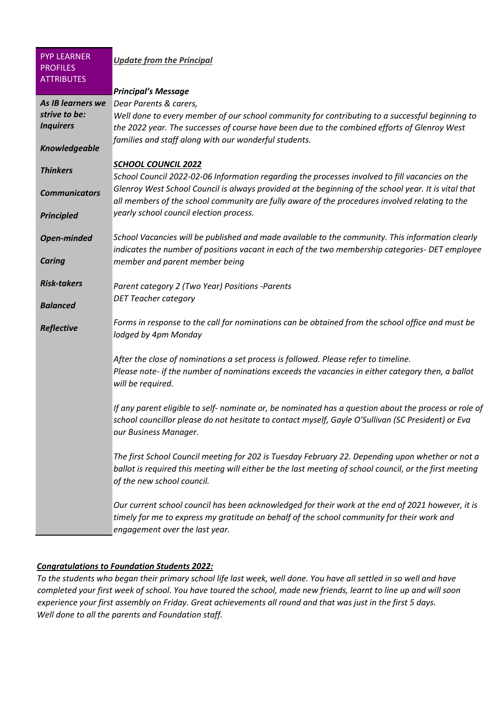| <b>PYP LEARNER</b><br><b>PROFILES</b><br><b>ATTRIBUTES</b> | <b>Update from the Principal</b>                                                                                                                                                                                                          |
|------------------------------------------------------------|-------------------------------------------------------------------------------------------------------------------------------------------------------------------------------------------------------------------------------------------|
|                                                            | <b>Principal's Message</b>                                                                                                                                                                                                                |
| As IB learners we<br>strive to be:<br><b>Inquirers</b>     | Dear Parents & carers,<br>Well done to every member of our school community for contributing to a successful beginning to<br>the 2022 year. The successes of course have been due to the combined efforts of Glenroy West                 |
| <b>Knowledgeable</b>                                       | families and staff along with our wonderful students.                                                                                                                                                                                     |
| <b>Thinkers</b>                                            | <b>SCHOOL COUNCIL 2022</b><br>School Council 2022-02-06 Information regarding the processes involved to fill vacancies on the                                                                                                             |
| <b>Communicators</b>                                       | Glenroy West School Council is always provided at the beginning of the school year. It is vital that<br>all members of the school community are fully aware of the procedures involved relating to the                                    |
| <b>Principled</b>                                          | yearly school council election process.                                                                                                                                                                                                   |
| <b>Open-minded</b>                                         | School Vacancies will be published and made available to the community. This information clearly<br>indicates the number of positions vacant in each of the two membership categories- DET employee                                       |
| <b>Caring</b>                                              | member and parent member being                                                                                                                                                                                                            |
| <b>Risk-takers</b>                                         | Parent category 2 (Two Year) Positions -Parents                                                                                                                                                                                           |
| <b>Balanced</b>                                            | <b>DET Teacher category</b>                                                                                                                                                                                                               |
| <b>Reflective</b>                                          | Forms in response to the call for nominations can be obtained from the school office and must be<br>lodged by 4pm Monday                                                                                                                  |
|                                                            | After the close of nominations a set process is followed. Please refer to timeline.<br>Please note- if the number of nominations exceeds the vacancies in either category then, a ballot<br>will be required.                             |
|                                                            | If any parent eligible to self- nominate or, be nominated has a question about the process or role of<br>school councillor please do not hesitate to contact myself, Gayle O'Sullivan (SC President) or Eva<br>our Business Manager.      |
|                                                            | The first School Council meeting for 202 is Tuesday February 22. Depending upon whether or not a<br>ballot is required this meeting will either be the last meeting of school council, or the first meeting<br>of the new school council. |
|                                                            | Our current school council has been acknowledged for their work at the end of 2021 however, it is<br>timely for me to express my gratitude on behalf of the school community for their work and<br>engagement over the last year.         |

#### *Congratulations to Foundation Students 2022:*

*To the students who began their primary school life last week, well done. You have all settled in so well and have completed your first week of school. You have toured the school, made new friends, learnt to line up and will soon experience your first assembly on Friday. Great achievements all round and that was just in the first 5 days. Well done to all the parents and Foundation staff.*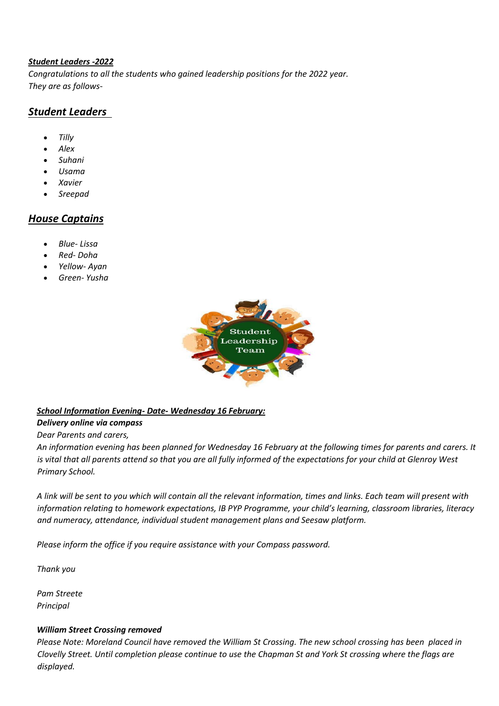#### *Student Leaders -2022*

*Congratulations to all the students who gained leadership positions for the 2022 year. They are as follows-*

### *Student Leaders*

- *Tilly*
- *Alex*
- *Suhani*
- *Usama*
- *Xavier*
- *Sreepad*

## *House Captains*

- *Blue- Lissa*
- *Red- Doha*
- *Yellow- Ayan*
- *Green- Yusha*



#### *School Information Evening- Date- Wednesday 16 February:*

#### *Delivery online via compass*

*Dear Parents and carers,*

*An information evening has been planned for Wednesday 16 February at the following times for parents and carers. It is vital that all parents attend so that you are all fully informed of the expectations for your child at Glenroy West Primary School.*

*A link will be sent to you which will contain all the relevant information, times and links. Each team will present with information relating to homework expectations, IB PYP Programme, your child's learning, classroom libraries, literacy and numeracy, attendance, individual student management plans and Seesaw platform.*

*Please inform the office if you require assistance with your Compass password.*

*Thank you*

*Pam Streete Principal*

#### *William Street Crossing removed*

*Please Note: Moreland Council have removed the William St Crossing. The new school crossing has been placed in Clovelly Street. Until completion please continue to use the Chapman St and York St crossing where the flags are displayed.*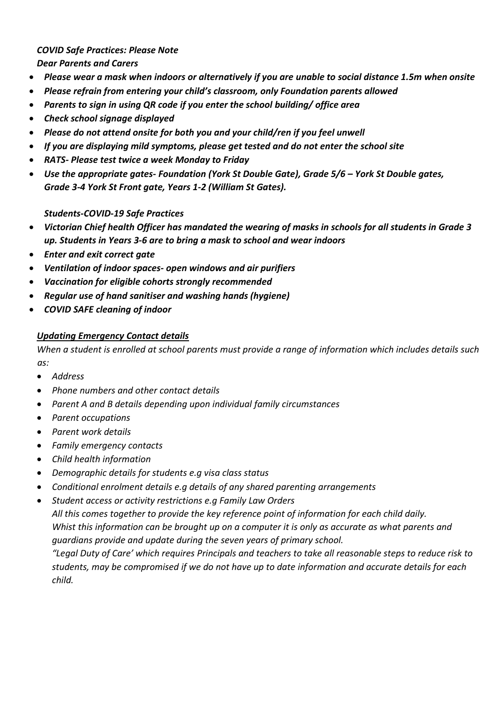#### *COVID Safe Practices: Please Note Dear Parents and Carers*

- *Please wear a mask when indoors or alternatively if you are unable to social distance 1.5m when onsite*
- *Please refrain from entering your child's classroom, only Foundation parents allowed*
- *Parents to sign in using QR code if you enter the school building/ office area*
- *Check school signage displayed*
- *Please do not attend onsite for both you and your child/ren if you feel unwell*
- *If you are displaying mild symptoms, please get tested and do not enter the school site*
- *RATS- Please test twice a week Monday to Friday*
- *Use the appropriate gates- Foundation (York St Double Gate), Grade 5/6 – York St Double gates, Grade 3-4 York St Front gate, Years 1-2 (William St Gates).*

#### *Students-COVID-19 Safe Practices*

- *Victorian Chief health Officer has mandated the wearing of masks in schools for all students in Grade 3 up. Students in Years 3-6 are to bring a mask to school and wear indoors*
- *Enter and exit correct gate*
- *Ventilation of indoor spaces- open windows and air purifiers*
- *Vaccination for eligible cohorts strongly recommended*
- *Regular use of hand sanitiser and washing hands (hygiene)*
- *COVID SAFE cleaning of indoor*

#### *Updating Emergency Contact details*

*When a student is enrolled at school parents must provide a range of information which includes details such as:*

- *Address*
- *Phone numbers and other contact details*
- *Parent A and B details depending upon individual family circumstances*
- *Parent occupations*
- *Parent work details*
- *Family emergency contacts*
- *Child health information*
- *Demographic details for students e.g visa class status*
- *Conditional enrolment details e.g details of any shared parenting arrangements*
- *Student access or activity restrictions e.g Family Law Orders*

*All this comes together to provide the key reference point of information for each child daily. Whist this information can be brought up on a computer it is only as accurate as what parents and guardians provide and update during the seven years of primary school.*

*"Legal Duty of Care' which requires Principals and teachers to take all reasonable steps to reduce risk to students, may be compromised if we do not have up to date information and accurate details for each child.*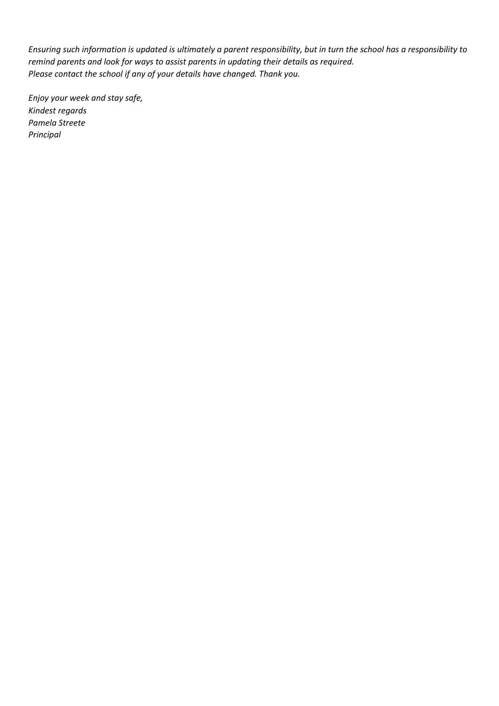*Ensuring such information is updated is ultimately a parent responsibility, but in turn the school has a responsibility to remind parents and look for ways to assist parents in updating their details as required. Please contact the school if any of your details have changed. Thank you.*

*Enjoy your week and stay safe, Kindest regards Pamela Streete Principal*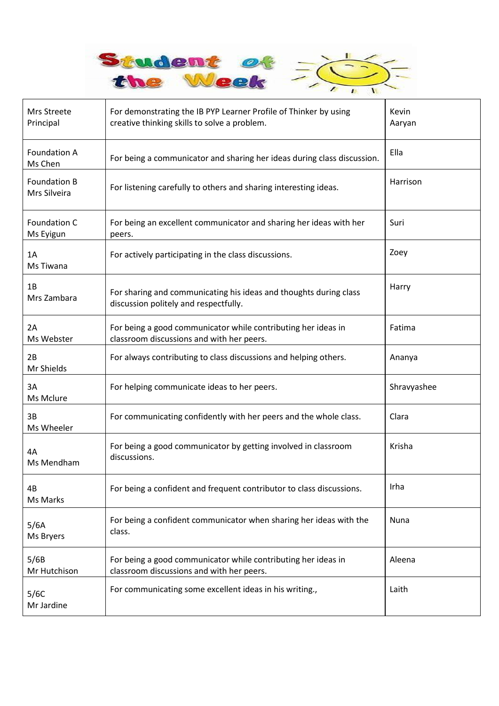

| Mrs Streete<br>Principal            | For demonstrating the IB PYP Learner Profile of Thinker by using<br>creative thinking skills to solve a problem. | Kevin<br>Aaryan |
|-------------------------------------|------------------------------------------------------------------------------------------------------------------|-----------------|
| <b>Foundation A</b><br>Ms Chen      | For being a communicator and sharing her ideas during class discussion.                                          | Ella            |
| <b>Foundation B</b><br>Mrs Silveira | For listening carefully to others and sharing interesting ideas.                                                 | Harrison        |
| Foundation C<br>Ms Eyigun           | For being an excellent communicator and sharing her ideas with her<br>peers.                                     | Suri            |
| 1A<br>Ms Tiwana                     | For actively participating in the class discussions.                                                             | Zoey            |
| 1B<br>Mrs Zambara                   | For sharing and communicating his ideas and thoughts during class<br>discussion politely and respectfully.       | Harry           |
| 2A<br>Ms Webster                    | For being a good communicator while contributing her ideas in<br>classroom discussions and with her peers.       | Fatima          |
| 2B<br>Mr Shields                    | For always contributing to class discussions and helping others.                                                 | Ananya          |
| 3A<br>Ms Mclure                     | For helping communicate ideas to her peers.                                                                      | Shravyashee     |
| 3B<br>Ms Wheeler                    | For communicating confidently with her peers and the whole class.                                                | Clara           |
| 4A<br>Ms Mendham                    | For being a good communicator by getting involved in classroom<br>discussions.                                   | Krisha          |
| 4B<br>Ms Marks                      | For being a confident and frequent contributor to class discussions.                                             | Irha            |
| 5/6A<br>Ms Bryers                   | For being a confident communicator when sharing her ideas with the<br>class.                                     | Nuna            |
| 5/6B<br>Mr Hutchison                | For being a good communicator while contributing her ideas in<br>classroom discussions and with her peers.       | Aleena          |
| 5/6C<br>Mr Jardine                  | For communicating some excellent ideas in his writing.,                                                          | Laith           |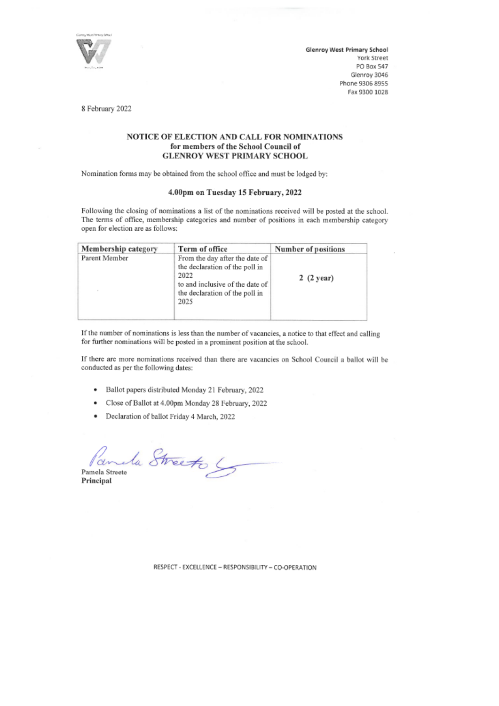

Glenroy West Primary School York Street PO Box 547 Glenroy 3046 Phone 9306 8955 Fax 9300 1028

8 February 2022

#### NOTICE OF ELECTION AND CALL FOR NOMINATIONS for members of the School Council of **GLENROY WEST PRIMARY SCHOOL**

Nomination forms may be obtained from the school office and must be lodged by:

#### 4.00pm on Tuesday 15 February, 2022

Following the closing of nominations a list of the nominations received will be posted at the school. The terms of office, membership categories and number of positions in each membership category open for election are as follows:

| Membership category | Term of office                                                                                                                                        | Number of positions |
|---------------------|-------------------------------------------------------------------------------------------------------------------------------------------------------|---------------------|
| Parent Member       | From the day after the date of<br>the declaration of the poll in<br>2022<br>to and inclusive of the date of<br>the declaration of the poll in<br>2025 | 2(2 year)           |

If the number of nominations is less than the number of vacancies, a notice to that effect and calling for further nominations will be posted in a prominent position at the school.

If there are more nominations received than there are vacancies on School Council a ballot will be conducted as per the following dates:

- · Ballot papers distributed Monday 21 February, 2022
- Close of Ballot at 4.00pm Monday 28 February, 2022
- Declaration of ballot Friday 4 March, 2022

Parula Streeto Pamela Streete

Principal

RESPECT - EXCELLENCE - RESPONSIBILITY - CO-OPERATION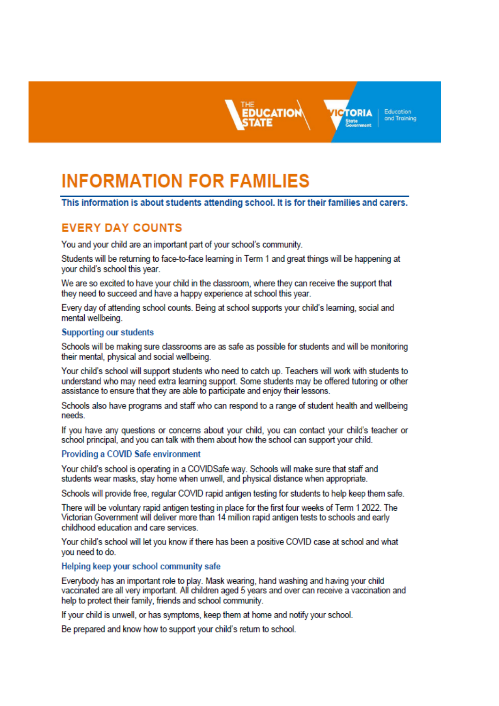

Education **TORIA** and Training

# **INFORMATION FOR FAMILIES**

#### This information is about students attending school. It is for their families and carers.

# **EVERY DAY COUNTS**

You and your child are an important part of your school's community.

Students will be returning to face-to-face learning in Term 1 and great things will be happening at your child's school this year.

We are so excited to have your child in the classroom, where they can receive the support that they need to succeed and have a happy experience at school this year.

Every day of attending school counts. Being at school supports your child's learning, social and mental wellbeing.

#### **Supporting our students**

Schools will be making sure classrooms are as safe as possible for students and will be monitoring their mental, physical and social wellbeing.

Your child's school will support students who need to catch up. Teachers will work with students to understand who may need extra learning support. Some students may be offered tutoring or other assistance to ensure that they are able to participate and enjoy their lessons.

Schools also have programs and staff who can respond to a range of student health and wellbeing needs.

If you have any questions or concerns about your child, you can contact your child's teacher or school principal, and you can talk with them about how the school can support your child.

#### Providing a COVID Safe environment

Your child's school is operating in a COVIDSafe way. Schools will make sure that staff and students wear masks, stay home when unwell, and physical distance when appropriate.

Schools will provide free, regular COVID rapid antigen testing for students to help keep them safe.

There will be voluntary rapid antigen testing in place for the first four weeks of Term 1 2022. The Victorian Government will deliver more than 14 million rapid antigen tests to schools and early childhood education and care services.

Your child's school will let you know if there has been a positive COVID case at school and what you need to do.

#### Helping keep your school community safe

Everybody has an important role to play. Mask wearing, hand washing and having your child vaccinated are all very important. All children aged 5 years and over can receive a vaccination and help to protect their family, friends and school community.

If your child is unwell, or has symptoms, keep them at home and notify your school.

Be prepared and know how to support your child's return to school.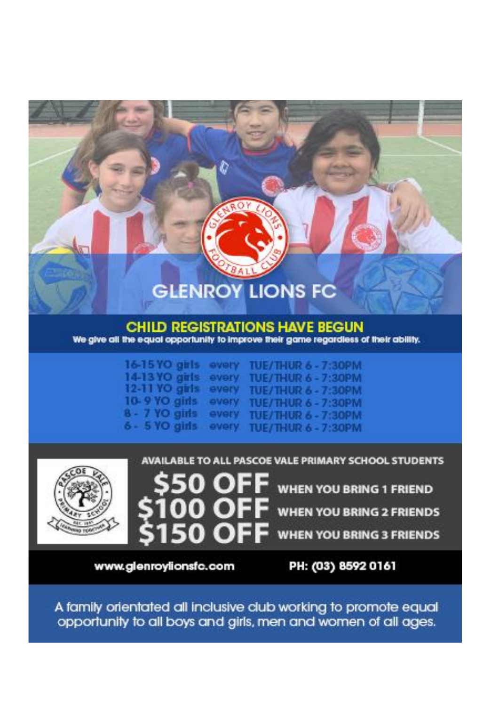# **GLENROY LIONS FC**

#### **CHILD REGISTRATIONS HAVE BEGUN** We give all the equal opportunity to improve their game regardless of their ability.

| 16-15 YO girls overy |       | TUE/THUR 6 - 7:30PM |
|----------------------|-------|---------------------|
| 14-13 YO girls every |       | TUE/THUR 6 - 7:30PM |
| $12 - 11$ YO gris    | every | TUE/THUR 6 - 7:30PM |
| $10-9$ YO girls      | every | TUE/THUR 6 - 7:30PM |
| $8 - 7$ YO girls     | every | TUE/THUR 6 - 7:30PM |
| 6 - 5 YO girls every |       | TUE/THUR 6 - 7:30PM |



AVAILABLE TO ALL PASCOE VALE PRIMARY SCHOOL STUDENTS



**WHEN YOU BRING 1 FRIEND** 

**WHEN YOU BRING 2 FRIENDS** 

**WHEN YOU BRING 3 FRIENDS** 

www.glenroylionsfc.com

PH: (03) 8592 0161

A family orientated all inclusive club working to promote equal opportunity to all boys and girls, men and women of all ages.